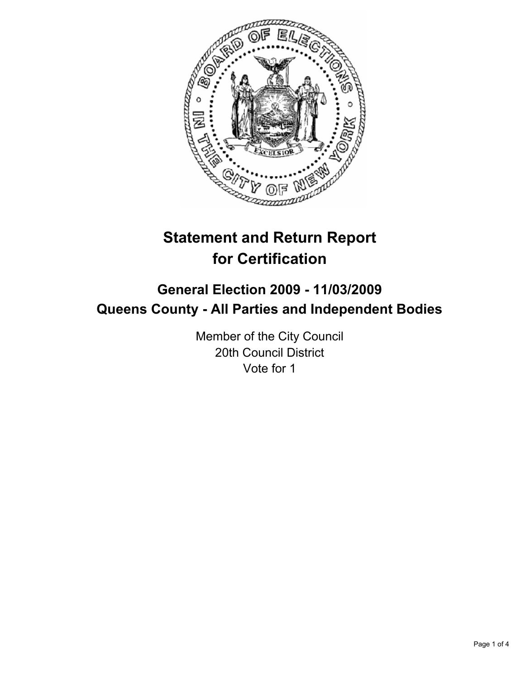

# **Statement and Return Report for Certification**

# **General Election 2009 - 11/03/2009 Queens County - All Parties and Independent Bodies**

Member of the City Council 20th Council District Vote for 1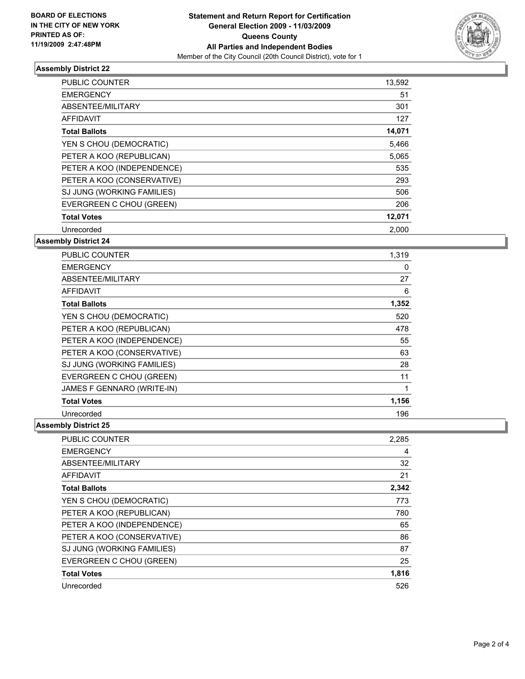

# **Assembly District 22**

| <b>PUBLIC COUNTER</b>      | 13,592 |
|----------------------------|--------|
| <b>EMERGENCY</b>           | 51     |
| ABSENTEE/MILITARY          | 301    |
| <b>AFFIDAVIT</b>           | 127    |
| <b>Total Ballots</b>       | 14,071 |
| YEN S CHOU (DEMOCRATIC)    | 5,466  |
| PETER A KOO (REPUBLICAN)   | 5,065  |
| PETER A KOO (INDEPENDENCE) | 535    |
| PETER A KOO (CONSERVATIVE) | 293    |
| SJ JUNG (WORKING FAMILIES) | 506    |
| EVERGREEN C CHOU (GREEN)   | 206    |
| <b>Total Votes</b>         | 12,071 |
| Unrecorded                 | 2,000  |

# **Assembly District 24**

| <b>PUBLIC COUNTER</b>      | 1,319 |
|----------------------------|-------|
| <b>EMERGENCY</b>           | 0     |
| ABSENTEE/MILITARY          | 27    |
| <b>AFFIDAVIT</b>           | 6     |
| <b>Total Ballots</b>       | 1,352 |
| YEN S CHOU (DEMOCRATIC)    | 520   |
| PETER A KOO (REPUBLICAN)   | 478   |
| PETER A KOO (INDEPENDENCE) | 55    |
| PETER A KOO (CONSERVATIVE) | 63    |
| SJ JUNG (WORKING FAMILIES) | 28    |
| EVERGREEN C CHOU (GREEN)   | 11    |
| JAMES F GENNARO (WRITE-IN) | 1     |
| <b>Total Votes</b>         | 1,156 |
| Unrecorded                 | 196   |

### **Assembly District 25**

| <b>PUBLIC COUNTER</b>      | 2,285 |
|----------------------------|-------|
| <b>EMERGENCY</b>           | 4     |
| ABSENTEE/MILITARY          | 32    |
| <b>AFFIDAVIT</b>           | 21    |
| <b>Total Ballots</b>       | 2,342 |
| YEN S CHOU (DEMOCRATIC)    | 773   |
| PETER A KOO (REPUBLICAN)   | 780   |
| PETER A KOO (INDEPENDENCE) | 65    |
| PETER A KOO (CONSERVATIVE) | 86    |
| SJ JUNG (WORKING FAMILIES) | 87    |
| EVERGREEN C CHOU (GREEN)   | 25    |
| <b>Total Votes</b>         | 1,816 |
| Unrecorded                 | 526   |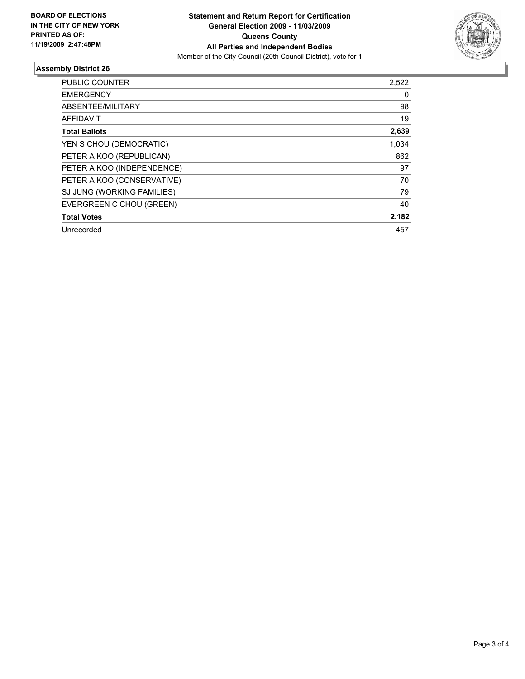

# **Assembly District 26**

| <b>PUBLIC COUNTER</b>      | 2,522 |
|----------------------------|-------|
| <b>EMERGENCY</b>           | 0     |
| ABSENTEE/MILITARY          | 98    |
| <b>AFFIDAVIT</b>           | 19    |
| <b>Total Ballots</b>       | 2,639 |
| YEN S CHOU (DEMOCRATIC)    | 1.034 |
| PETER A KOO (REPUBLICAN)   | 862   |
| PETER A KOO (INDEPENDENCE) | 97    |
| PETER A KOO (CONSERVATIVE) | 70    |
| SJ JUNG (WORKING FAMILIES) | 79    |
| EVERGREEN C CHOU (GREEN)   | 40    |
| <b>Total Votes</b>         | 2,182 |
| Unrecorded                 | 457   |